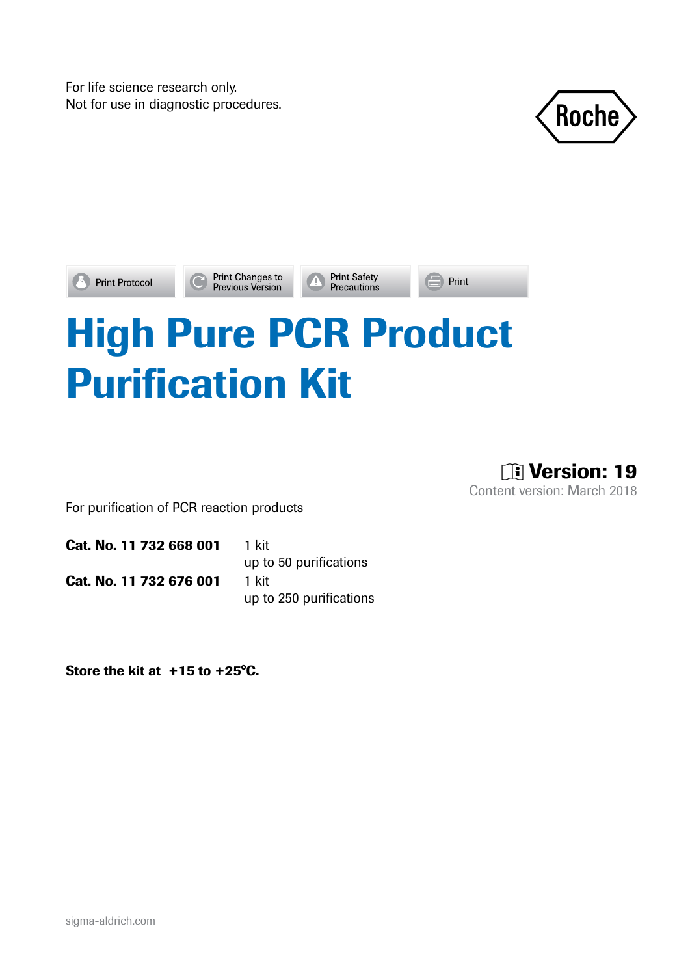For life science research only.





Print Changes to<br>Previous Version

**Print Safety**<br>**Precautions** 

 $\blacksquare$  Print

# High Pure PCR Product Purification Kit

**Til Version: 19** Content version: March 2018

For purification of PCR reaction products

Cat. No. 11 732 668 001 1 kit Cat. No. 11 732 676 001 1 kit

up to 50 purifications up to 250 purifications

Store the kit at +15 to +25°C.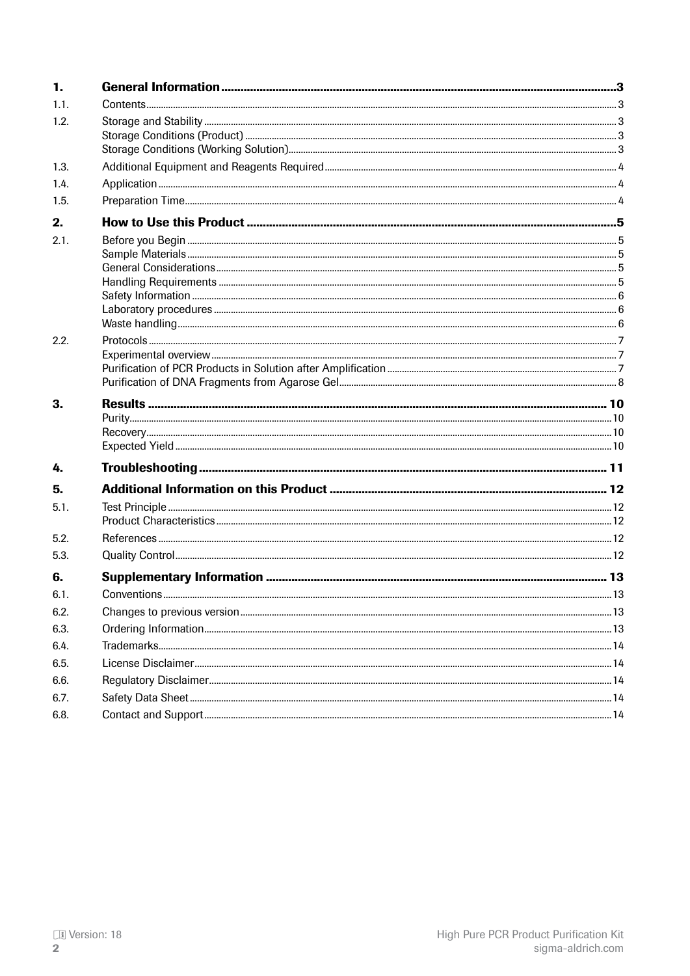| 1.   |  |
|------|--|
| 1.1. |  |
| 1.2. |  |
|      |  |
|      |  |
| 1.3. |  |
| 1.4. |  |
| 1.5. |  |
| 2.   |  |
| 2.1. |  |
|      |  |
|      |  |
|      |  |
|      |  |
|      |  |
| 2.2. |  |
|      |  |
|      |  |
|      |  |
| 3.   |  |
|      |  |
|      |  |
| 4.   |  |
| 5.   |  |
| 5.1. |  |
|      |  |
| 5.2. |  |
| 5.3. |  |
| 6.   |  |
| 6.1. |  |
| 6.2. |  |
| 6.3. |  |
| 6.4. |  |
| 6.5. |  |
| 6.6. |  |
| 6.7. |  |
| 6.8. |  |
|      |  |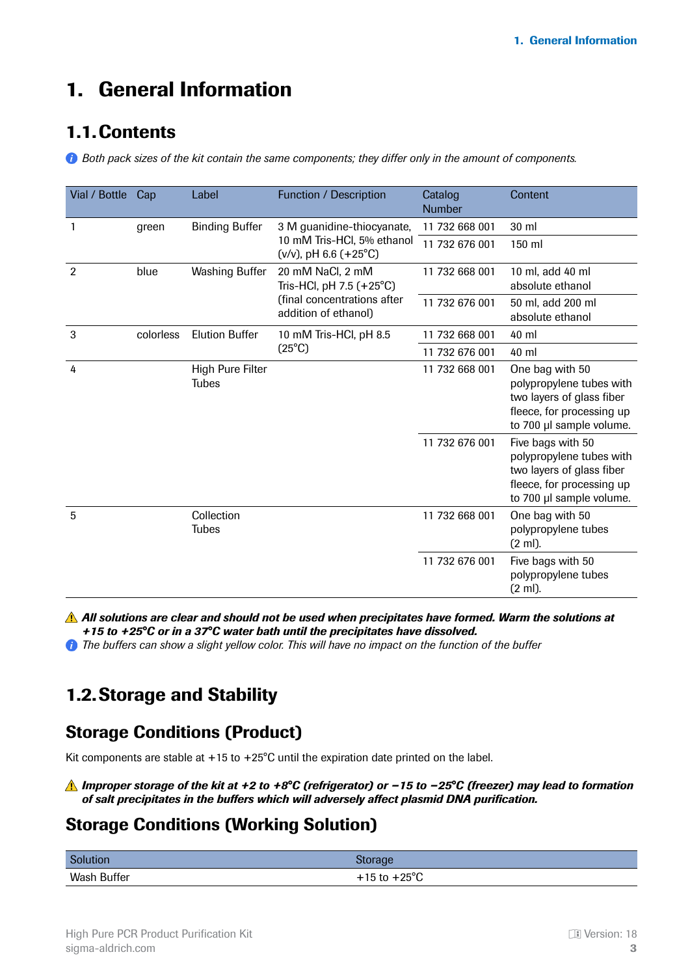# <span id="page-2-0"></span>1. General Information

### 1.1.Contents

*Both pack sizes of the kit contain the same components; they differ only in the amount of components.*

| Vial / Bottle  | Cap       | Label                            | Function / Description                                                                 | Catalog<br><b>Number</b> | Content                                                                                                                             |
|----------------|-----------|----------------------------------|----------------------------------------------------------------------------------------|--------------------------|-------------------------------------------------------------------------------------------------------------------------------------|
| 1              | green     | <b>Binding Buffer</b>            | 3 M guanidine-thiocyanate,<br>10 mM Tris-HCl, 5% ethanol<br>$(v/v)$ , pH 6.6 $(+25°C)$ | 11 732 668 001           | 30 ml                                                                                                                               |
|                |           |                                  |                                                                                        | 11 732 676 001           | 150 ml                                                                                                                              |
| $\overline{2}$ | blue      | Washing Buffer                   | 20 mM NaCl, 2 mM<br>Tris-HCl, pH 7.5 (+25°C)                                           | 11 732 668 001           | 10 ml, add 40 ml<br>absolute ethanol                                                                                                |
|                |           |                                  | (final concentrations after<br>addition of ethanol)                                    | 11 732 676 001           | 50 ml, add 200 ml<br>absolute ethanol                                                                                               |
| 3              | colorless | <b>Elution Buffer</b>            | 10 mM Tris-HCl, pH 8.5                                                                 | 11 732 668 001           | 40 ml                                                                                                                               |
|                |           |                                  | $(25^{\circ}C)$                                                                        | 11 732 676 001           | 40 ml                                                                                                                               |
| 4              |           | High Pure Filter<br><b>Tubes</b> |                                                                                        | 11 732 668 001           | One bag with 50<br>polypropylene tubes with<br>two layers of glass fiber<br>fleece, for processing up<br>to 700 µl sample volume.   |
|                |           |                                  |                                                                                        | 11 732 676 001           | Five bags with 50<br>polypropylene tubes with<br>two layers of glass fiber<br>fleece, for processing up<br>to 700 µl sample volume. |
| 5              |           | Collection<br><b>Tubes</b>       |                                                                                        | 11 732 668 001           | One bag with 50<br>polypropylene tubes<br>$(2 \text{ ml})$ .                                                                        |
|                |           |                                  |                                                                                        | 11 732 676 001           | Five bags with 50<br>polypropylene tubes<br>(2 ml).                                                                                 |

*All solutions are clear and should not be used when precipitates have formed. Warm the solutions at +15 to +25°C or in a 37°C water bath until the precipitates have dissolved.*

*The buffers can show a slight yellow color. This will have no impact on the function of the buffer*

### 1.2.Storage and Stability

### Storage Conditions (Product)

Kit components are stable at  $+15$  to  $+25^{\circ}$ C until the expiration date printed on the label.

#### *Improper storage of the kit at +2 to +8°C (refrigerator) or −15 to −25°C (freezer) may lead to formation of salt precipitates in the buffers which will adversely affect plasmid DNA purification.*

### Storage Conditions (Working Solution)

| Solution    | <b>storage</b>             |
|-------------|----------------------------|
| Wash Buffer | 1.250C<br>L 15 to .<br>ن ا |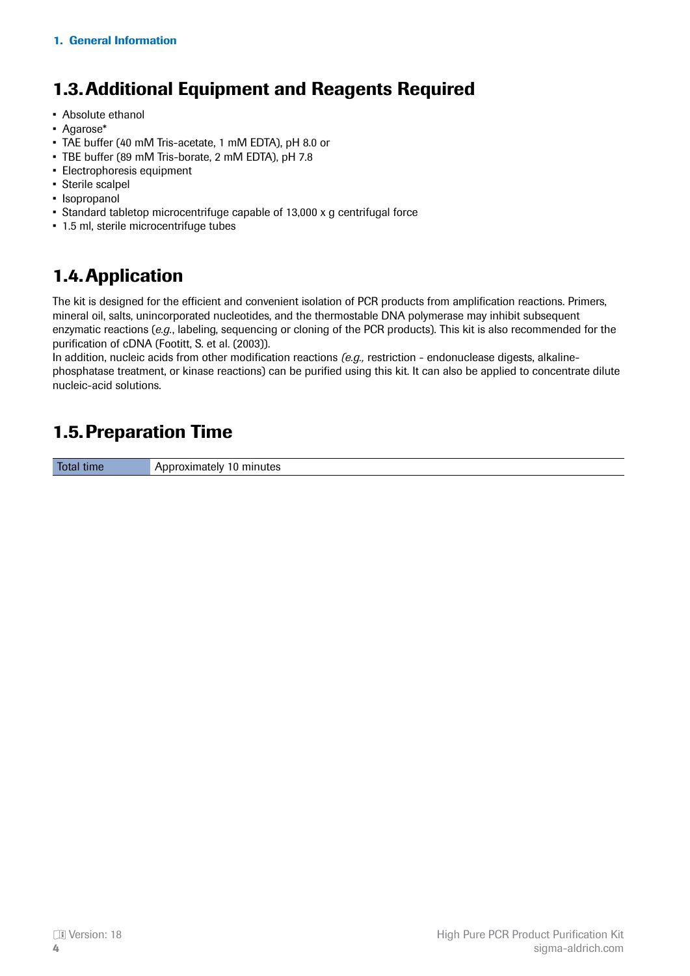# <span id="page-3-0"></span>1.3.Additional Equipment and Reagents Required

- Absolute ethanol
- Agarose\*
- TAE buffer (40 mM Tris-acetate, 1 mM EDTA), pH 8.0 or
- TBE buffer (89 mM Tris-borate, 2 mM EDTA), pH 7.8
- Electrophoresis equipment
- Sterile scalpel
- Isopropanol
- Standard tabletop microcentrifuge capable of 13,000 x g centrifugal force
- 1.5 ml, sterile microcentrifuge tubes

## 1.4.Application

The kit is designed for the efficient and convenient isolation of PCR products from amplification reactions. Primers, mineral oil, salts, unincorporated nucleotides, and the thermostable DNA polymerase may inhibit subsequent enzymatic reactions (*e.g.*, labeling, sequencing or cloning of the PCR products). This kit is also recommended for the purification of cDNA (Footitt, S. et al. (2003)).

In addition, nucleic acids from other modification reactions *(e.g.,* restriction - endonuclease digests, alkalinephosphatase treatment, or kinase reactions) can be purified using this kit. It can also be applied to concentrate dilute nucleic-acid solutions.

## 1.5.Preparation Time

Total time **Approximately 10 minutes**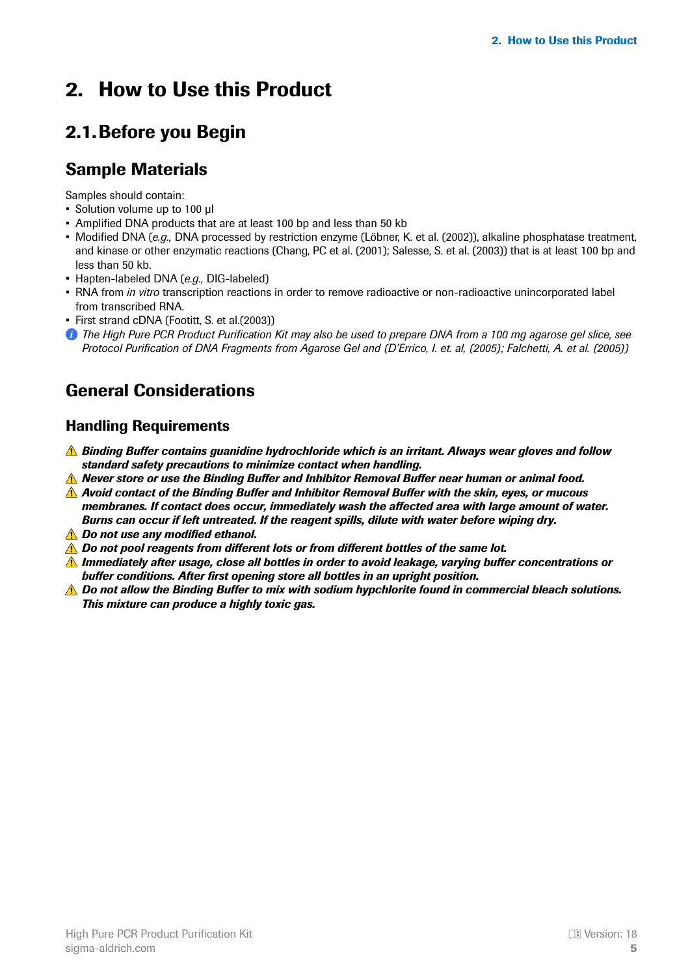# <span id="page-4-0"></span>2. How to Use this Product

## 2.1.Before you Begin

### Sample Materials

Samples should contain:

- Solution volume up to 100 μl
- Amplified DNA products that are at least 100 bp and less than 50 kb
- Modified DNA (*e.g.,* DNA processed by restriction enzyme (Löbner, K. et al. (2002)), alkaline phosphatase treatment, and kinase or other enzymatic reactions (Chang, PC et al. (2001); Salesse, S. et al. (2003)) that is at least 100 bp and less than 50 kb.
- Hapten-labeled DNA (*e.g.,* DIG-labeled)
- RNA from *in vitro* transcription reactions in order to remove radioactive or non-radioactive unincorporated label from transcribed RNA.
- First strand cDNA (Footitt, S. et al.(2003))
- *The High Pure PCR Product Purification Kit may also be used to prepare DNA from a 100 mg agarose gel slice, see Protocol Purification of DNA Fragments from Agarose Gel and (D'Errico, I. et. al, (2005); Falchetti, A. et al. (2005))*

### General Considerations

### Handling Requirements

- *Binding Buffer contains guanidine hydrochloride which is an irritant. Always wear gloves and follow standard safety precautions to minimize contact when handling.*
- *Never store or use the Binding Buffer and Inhibitor Removal Buffer near human or animal food.*
- *Avoid contact of the Binding Buffer and Inhibitor Removal Buffer with the skin, eyes, or mucous membranes. If contact does occur, immediately wash the affected area with large amount of water. Burns can occur if left untreated. If the reagent spills, dilute with water before wiping dry.*
- *Do not use any modified ethanol.*
- *A* Do not pool reagents from different lots or from different bottles of the same lot.
- *Immediately after usage, close all bottles in order to avoid leakage, varying buffer concentrations or buffer conditions. After first opening store all bottles in an upright position.*
- **A** Do not allow the Binding Buffer to mix with sodium hypchlorite found in commercial bleach solutions. *This mixture can produce a highly toxic gas.*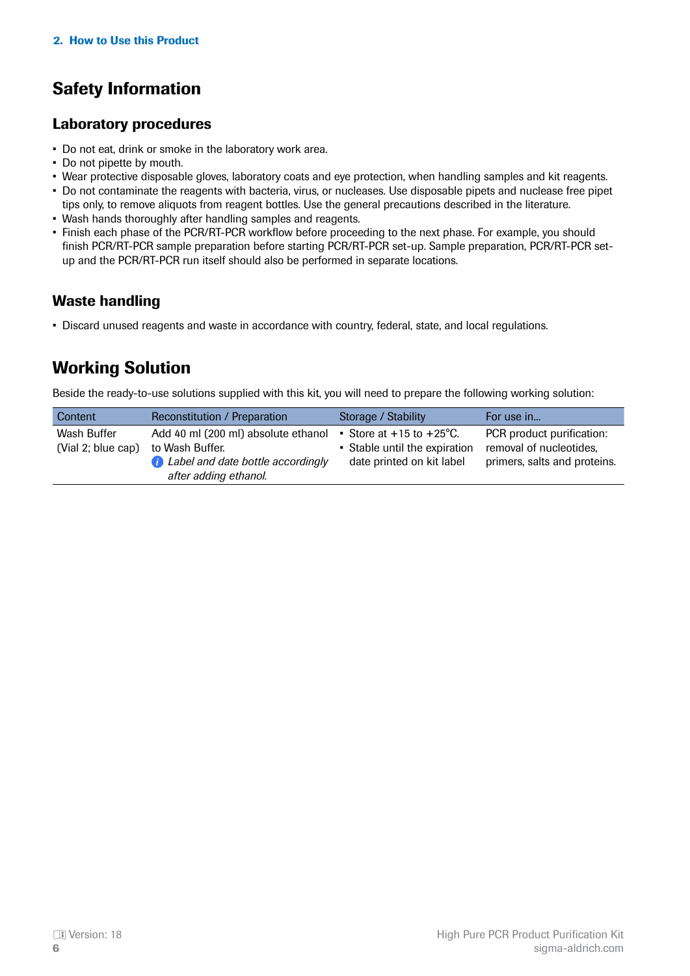# <span id="page-5-0"></span>Safety Information

### Laboratory procedures

- Do not eat, drink or smoke in the laboratory work area.
- Do not pipette by mouth.
- Wear protective disposable gloves, laboratory coats and eye protection, when handling samples and kit reagents.
- Do not contaminate the reagents with bacteria, virus, or nucleases. Use disposable pipets and nuclease free pipet tips only, to remove aliquots from reagent bottles. Use the general precautions described in the literature.
- Wash hands thoroughly after handling samples and reagents.
- Finish each phase of the PCR/RT-PCR workflow before proceeding to the next phase. For example, you should finish PCR/RT-PCR sample preparation before starting PCR/RT-PCR set-up. Sample preparation, PCR/RT-PCR setup and the PCR/RT-PCR run itself should also be performed in separate locations.

### Waste handling

• Discard unused reagents and waste in accordance with country, federal, state, and local regulations.

### Working Solution

Beside the ready-to-use solutions supplied with this kit, you will need to prepare the following working solution:

| Content                           | Reconstitution / Preparation                                                                                                  | Storage / Stability                                                                              | For use in                                                                           |
|-----------------------------------|-------------------------------------------------------------------------------------------------------------------------------|--------------------------------------------------------------------------------------------------|--------------------------------------------------------------------------------------|
| Wash Buffer<br>(Vial 2; blue cap) | Add 40 ml (200 ml) absolute ethanol<br>to Wash Buffer.<br><b>C</b> Label and date bottle accordingly<br>after adding ethanol. | Store at $+15$ to $+25^{\circ}$ C.<br>• Stable until the expiration<br>date printed on kit label | PCR product purification:<br>removal of nucleotides,<br>primers, salts and proteins. |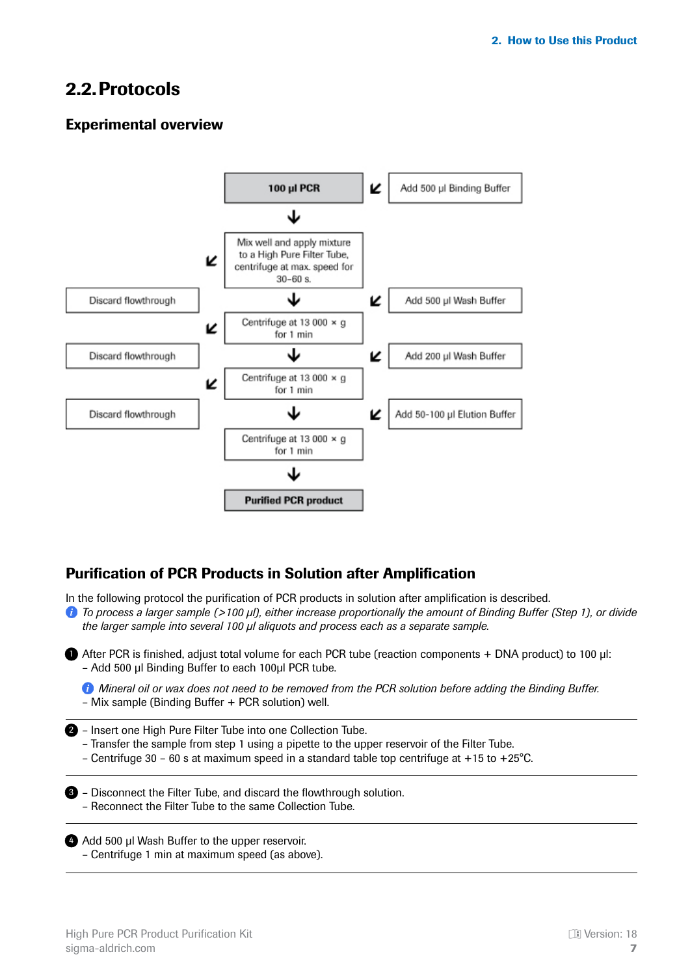### <span id="page-6-0"></span>2.2.Protocols

### Experimental overview



### Purification of PCR Products in Solution after Amplification

In the following protocol the purification of PCR products in solution after amplification is described.

*To process a larger sample (>100 μl), either increase proportionally the amount of Binding Buffer (Step 1), or divide the larger sample into several 100 μl aliquots and process each as a separate sample.*

**After PCR is finished, adjust total volume for each PCR tube (reaction components + DNA product) to 100 µl:** – Add 500 μl Binding Buffer to each 100μl PCR tube.

*Mineral oil or wax does not need to be removed from the PCR solution before adding the Binding Buffer.* – Mix sample (Binding Buffer + PCR solution) well.

2 - Insert one High Pure Filter Tube into one Collection Tube.

- Transfer the sample from step 1 using a pipette to the upper reservoir of the Filter Tube.
- Centrifuge 30 60 s at maximum speed in a standard table top centrifuge at +15 to +25°C.

**3** - Disconnect the Filter Tube, and discard the flowthrough solution. – Reconnect the Filter Tube to the same Collection Tube.

4 Add 500 μl Wash Buffer to the upper reservoir. – Centrifuge 1 min at maximum speed (as above).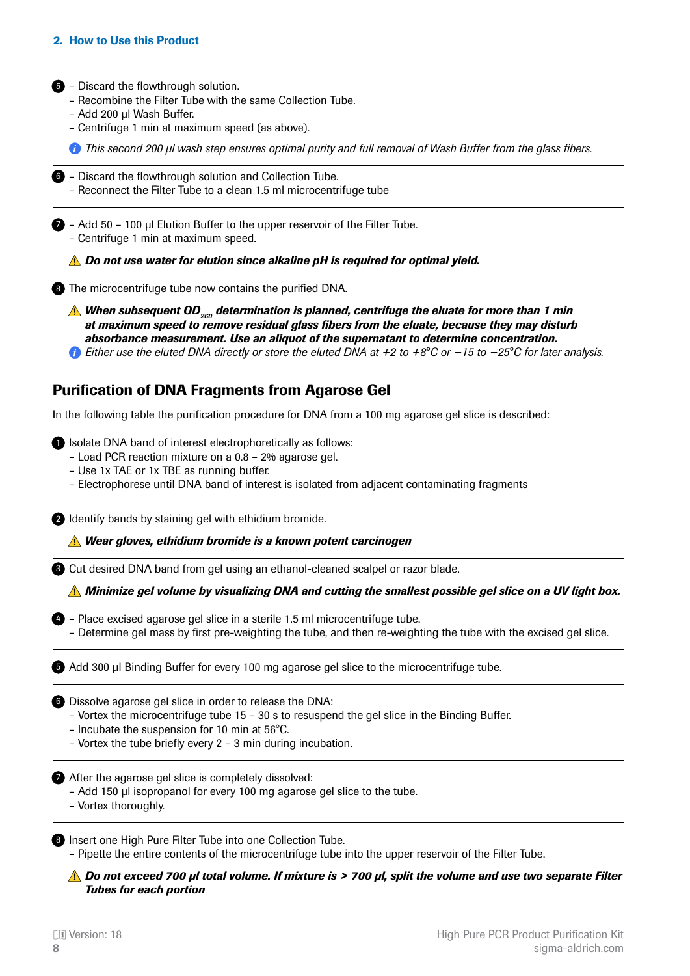#### <span id="page-7-0"></span>2. How to Use this Product

5 - Discard the flowthrough solution.

- Recombine the Filter Tube with the same Collection Tube.
- Add 200 μl Wash Buffer.
- Centrifuge 1 min at maximum speed (as above).

*This second 200 μl wash step ensures optimal purity and full removal of Wash Buffer from the glass fibers.*

**6** - Discard the flowthrough solution and Collection Tube. – Reconnect the Filter Tube to a clean 1.5 ml microcentrifuge tube

– Add 50 – 100 μl Elution Buffer to the upper reservoir of the Filter Tube. 7 – Centrifuge 1 min at maximum speed.

*Do not use water for elution since alkaline pH is required for optimal yield.*

**8** The microcentrifuge tube now contains the purified DNA.

**A** When subsequent OD<sub>260</sub> determination is planned, centrifuge the eluate for more than 1 min *at maximum speed to remove residual glass fibers from the eluate, because they may disturb absorbance measurement. Use an aliquot of the supernatant to determine concentration.*

*Either use the eluted DNA directly or store the eluted DNA at +2 to +8°C or −15 to −25°C for later analysis.*

#### Purification of DNA Fragments from Agarose Gel

In the following table the purification procedure for DNA from a 100 mg agarose gel slice is described:

**D** Isolate DNA band of interest electrophoretically as follows:

- Load PCR reaction mixture on a 0.8 2% agarose gel.
- Use 1x TAE or 1x TBE as running buffer.
- Electrophorese until DNA band of interest is isolated from adjacent contaminating fragments

2 Identify bands by staining gel with ethidium bromide.

*Wear gloves, ethidium bromide is a known potent carcinogen*

**8** Cut desired DNA band from gel using an ethanol-cleaned scalpel or razor blade.

*Minimize gel volume by visualizing DNA and cutting the smallest possible gel slice on a UV light box.*

- 4) Place excised agarose gel slice in a sterile 1.5 ml microcentrifuge tube.
	- Determine gel mass by first pre-weighting the tube, and then re-weighting the tube with the excised gel slice.

Add 300 μl Binding Buffer for every 100 mg agarose gel slice to the microcentrifuge tube. 5

**6** Dissolve agarose gel slice in order to release the DNA:

- Vortex the microcentrifuge tube 15 30 s to resuspend the gel slice in the Binding Buffer.
- Incubate the suspension for 10 min at 56°C.
- Vortex the tube briefly every 2 3 min during incubation.

**After the agarose gel slice is completely dissolved:** 

- Add 150 μl isopropanol for every 100 mg agarose gel slice to the tube.
- Vortex thoroughly.

8 Insert one High Pure Filter Tube into one Collection Tube.

– Pipette the entire contents of the microcentrifuge tube into the upper reservoir of the Filter Tube.

*Do not exceed 700 μl total volume. If mixture is > 700 μl, split the volume and use two separate Filter Tubes for each portion*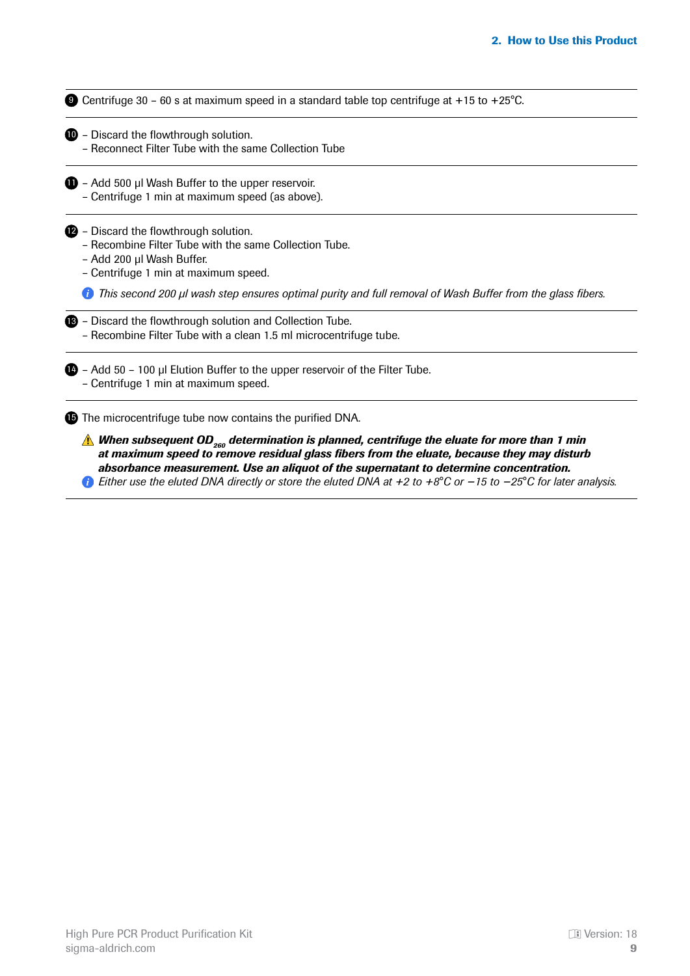**9** Centrifuge 30 - 60 s at maximum speed in a standard table top centrifuge at +15 to +25°C.

- **D** Discard the flowthrough solution.
	- Reconnect Filter Tube with the same Collection Tube
- $\blacksquare$  Add 500 µl Wash Buffer to the upper reservoir. – Centrifuge 1 min at maximum speed (as above).

**2** - Discard the flowthrough solution.

- Recombine Filter Tube with the same Collection Tube.
- Add 200 μl Wash Buffer.
- Centrifuge 1 min at maximum speed.

*This second 200 μl wash step ensures optimal purity and full removal of Wash Buffer from the glass fibers.*

| <b>B</b> - Discard the flowthrough solution and Collection Tube.  |
|-------------------------------------------------------------------|
| - Recombine Filter Tube with a clean 1.5 ml microcentrifuge tube. |

**14** - Add 50 - 100 μl Elution Buffer to the upper reservoir of the Filter Tube. – Centrifuge 1 min at maximum speed.

**15** The microcentrifuge tube now contains the purified DNA.

**A** When subsequent OD<sub>260</sub> determination is planned, centrifuge the eluate for more than 1 min *at maximum speed to remove residual glass fibers from the eluate, because they may disturb absorbance measurement. Use an aliquot of the supernatant to determine concentration.*

*Either use the eluted DNA directly or store the eluted DNA at +2 to +8°C or −15 to −25°C for later analysis.*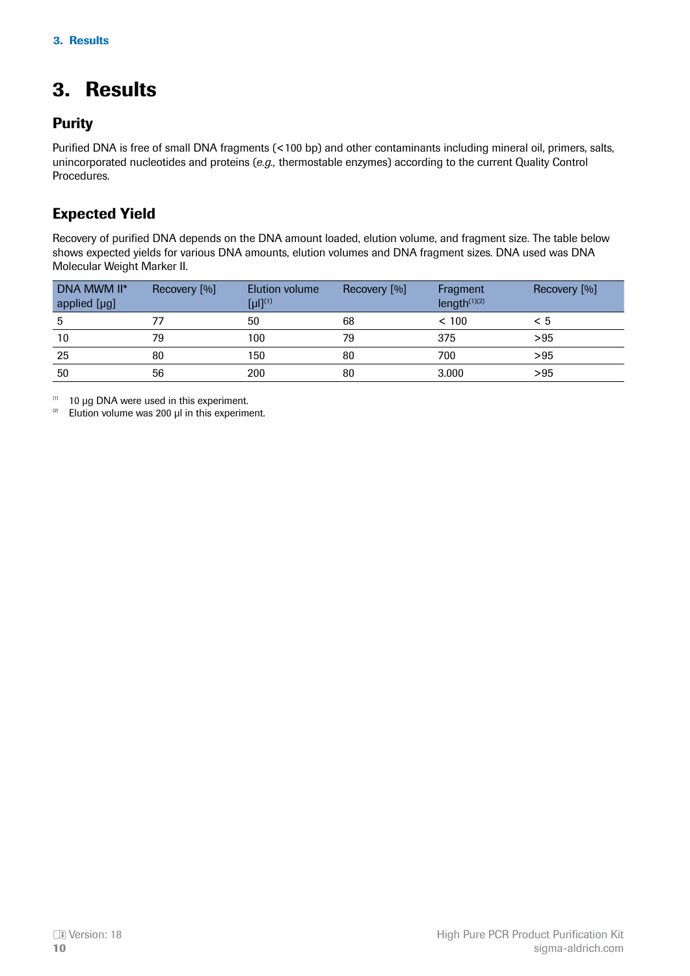# <span id="page-9-0"></span>3. Results

### **Purity**

Purified DNA is free of small DNA fragments (<100 bp) and other contaminants including mineral oil, primers, salts, unincorporated nucleotides and proteins (*e.g.,* thermostable enzymes) according to the current Quality Control Procedures.

### Expected Yield

Recovery of purified DNA depends on the DNA amount loaded, elution volume, and fragment size. The table below shows expected yields for various DNA amounts, elution volumes and DNA fragment sizes. DNA used was DNA Molecular Weight Marker II.

| DNA MWM II*<br>applied [µg] | Recovery [%] | Elution volume<br>$[µ!]^{(1)}$ | Recovery [%] | Fragment<br>length $(1)(2)$ | Recovery [%] |
|-----------------------------|--------------|--------------------------------|--------------|-----------------------------|--------------|
|                             |              | 50                             | 68           | < 100                       | < 5          |
| 10                          | 79           | 100                            | 79           | 375                         | >95          |
| 25                          | 80           | 150                            | 80           | 700                         | >95          |
| 50                          | 56           | 200                            | 80           | 3.000                       | >95          |

10 μg DNA were used in this experiment.   (1)

Elution volume was 200 μl in this experiment.   (2)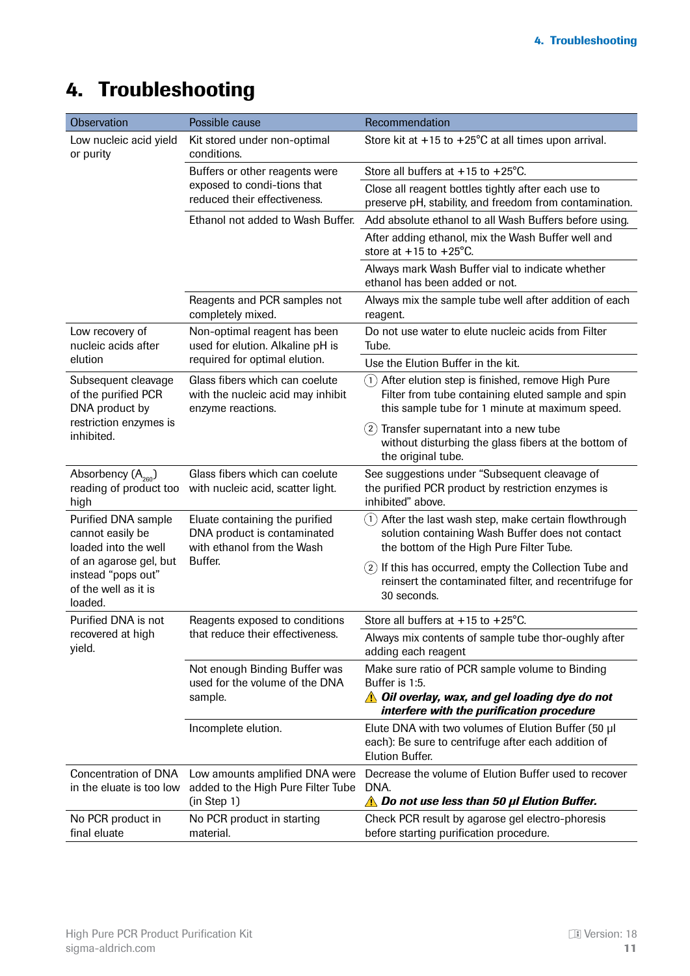# <span id="page-10-0"></span>4. Troubleshooting

| Observation<br>Possible cause<br>Recommendation                                 |                                                                                             |                                                                                                                                                                         |  |
|---------------------------------------------------------------------------------|---------------------------------------------------------------------------------------------|-------------------------------------------------------------------------------------------------------------------------------------------------------------------------|--|
| Low nucleic acid yield<br>or purity                                             | Kit stored under non-optimal<br>conditions.                                                 | Store kit at $+15$ to $+25^{\circ}$ C at all times upon arrival.                                                                                                        |  |
|                                                                                 | Buffers or other reagents were                                                              | Store all buffers at $+15$ to $+25^{\circ}$ C.                                                                                                                          |  |
|                                                                                 | exposed to condi-tions that<br>reduced their effectiveness.                                 | Close all reagent bottles tightly after each use to<br>preserve pH, stability, and freedom from contamination.                                                          |  |
|                                                                                 | Ethanol not added to Wash Buffer.                                                           | Add absolute ethanol to all Wash Buffers before using.                                                                                                                  |  |
|                                                                                 |                                                                                             | After adding ethanol, mix the Wash Buffer well and<br>store at $+15$ to $+25^{\circ}$ C.                                                                                |  |
|                                                                                 |                                                                                             | Always mark Wash Buffer vial to indicate whether<br>ethanol has been added or not.                                                                                      |  |
|                                                                                 | Reagents and PCR samples not<br>completely mixed.                                           | Always mix the sample tube well after addition of each<br>reagent.                                                                                                      |  |
| Low recovery of<br>nucleic acids after                                          | Non-optimal reagent has been<br>used for elution. Alkaline pH is                            | Do not use water to elute nucleic acids from Filter<br>Tube.                                                                                                            |  |
| elution                                                                         | required for optimal elution.                                                               | Use the Elution Buffer in the kit.                                                                                                                                      |  |
| Subsequent cleavage<br>of the purified PCR<br>DNA product by                    | Glass fibers which can coelute<br>with the nucleic acid may inhibit<br>enzyme reactions.    | After elution step is finished, remove High Pure<br>(1)<br>Filter from tube containing eluted sample and spin<br>this sample tube for 1 minute at maximum speed.        |  |
| restriction enzymes is<br>inhibited.                                            |                                                                                             | Transfer supernatant into a new tube<br>(2)<br>without disturbing the glass fibers at the bottom of<br>the original tube.                                               |  |
| Absorbency $(A_{260})$<br>reading of product too<br>high                        | Glass fibers which can coelute<br>with nucleic acid, scatter light.                         | See suggestions under "Subsequent cleavage of<br>the purified PCR product by restriction enzymes is<br>inhibited" above.                                                |  |
| Purified DNA sample<br>cannot easily be<br>loaded into the well                 | Eluate containing the purified<br>DNA product is contaminated<br>with ethanol from the Wash | After the last wash step, make certain flowthrough<br>(1)<br>solution containing Wash Buffer does not contact<br>the bottom of the High Pure Filter Tube.               |  |
| of an agarose gel, but<br>instead "pops out"<br>of the well as it is<br>loaded. | Buffer.                                                                                     | $(2)$ If this has occurred, empty the Collection Tube and<br>reinsert the contaminated filter, and recentrifuge for<br>30 seconds.                                      |  |
| Purified DNA is not                                                             | Reagents exposed to conditions                                                              | Store all buffers at +15 to +25°C.                                                                                                                                      |  |
| recovered at high<br>yield.                                                     | that reduce their effectiveness.                                                            | Always mix contents of sample tube thor-oughly after<br>adding each reagent                                                                                             |  |
|                                                                                 | Not enough Binding Buffer was<br>used for the volume of the DNA<br>sample.                  | Make sure ratio of PCR sample volume to Binding<br>Buffer is 1:5.<br><b>A</b> Oil overlay, wax, and gel loading dye do not<br>interfere with the purification procedure |  |
|                                                                                 | Incomplete elution.                                                                         | Elute DNA with two volumes of Elution Buffer (50 µl<br>each): Be sure to centrifuge after each addition of<br><b>Elution Buffer.</b>                                    |  |
| <b>Concentration of DNA</b><br>in the eluate is too low                         | Low amounts amplified DNA were<br>added to the High Pure Filter Tube<br>(in Step 1)         | Decrease the volume of Elution Buffer used to recover<br>DNA.<br><b>A</b> Do not use less than 50 µl Elution Buffer.                                                    |  |
| No PCR product in<br>final eluate                                               | No PCR product in starting<br>material.                                                     | Check PCR result by agarose gel electro-phoresis<br>before starting purification procedure.                                                                             |  |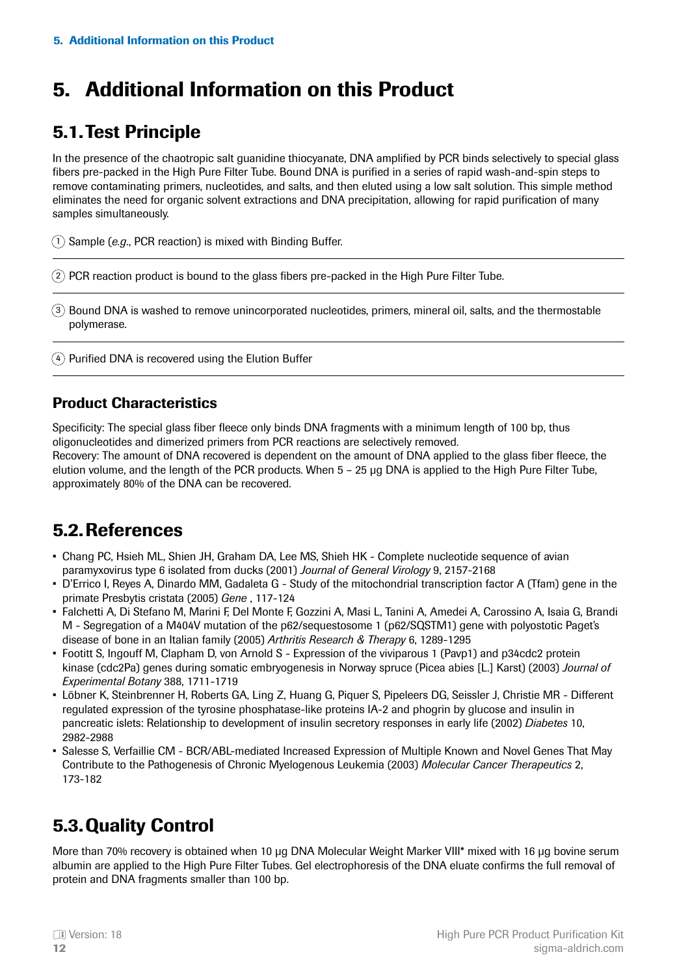# <span id="page-11-0"></span>5. Additional Information on this Product

### 5.1.Test Principle

In the presence of the chaotropic salt guanidine thiocyanate, DNA amplified by PCR binds selectively to special glass fibers pre-packed in the High Pure Filter Tube. Bound DNA is purified in a series of rapid wash-and-spin steps to remove contaminating primers, nucleotides, and salts, and then eluted using a low salt solution. This simple method eliminates the need for organic solvent extractions and DNA precipitation, allowing for rapid purification of many samples simultaneously.

1) Sample (e.g., PCR reaction) is mixed with Binding Buffer.

2) PCR reaction product is bound to the glass fibers pre-packed in the High Pure Filter Tube.

Bound DNA is washed to remove unincorporated nucleotides, primers, mineral oil, salts, and the thermostable 3 polymerase.

 $4)$  Purified DNA is recovered using the Elution Buffer

### Product Characteristics

Specificity: The special glass fiber fleece only binds DNA fragments with a minimum length of 100 bp, thus oligonucleotides and dimerized primers from PCR reactions are selectively removed.

Recovery: The amount of DNA recovered is dependent on the amount of DNA applied to the glass fiber fleece, the elution volume, and the length of the PCR products. When 5 – 25 μg DNA is applied to the High Pure Filter Tube, approximately 80% of the DNA can be recovered.

### 5.2.References

- Chang PC, Hsieh ML, Shien JH, Graham DA, Lee MS, Shieh HK Complete nucleotide sequence of avian paramyxovirus type 6 isolated from ducks (2001) *Journal of General Virology* 9, 2157-2168
- D'Errico I, Reyes A, Dinardo MM, Gadaleta G Study of the mitochondrial transcription factor A (Tfam) gene in the primate Presbytis cristata (2005) *Gene* , 117-124
- Falchetti A, Di Stefano M, Marini F, Del Monte F, Gozzini A, Masi L, Tanini A, Amedei A, Carossino A, Isaia G, Brandi M - Segregation of a M404V mutation of the p62/sequestosome 1 (p62/SQSTM1) gene with polyostotic Paget's disease of bone in an Italian family (2005) *Arthritis Research & Therapy* 6, 1289-1295
- Footitt S, Ingouff M, Clapham D, von Arnold S Expression of the viviparous 1 (Pavp1) and p34cdc2 protein kinase (cdc2Pa) genes during somatic embryogenesis in Norway spruce (Picea abies [L.] Karst) (2003) *Journal of Experimental Botany* 388, 1711-1719
- Löbner K, Steinbrenner H, Roberts GA, Ling Z, Huang G, Piquer S, Pipeleers DG, Seissler J, Christie MR Different regulated expression of the tyrosine phosphatase-like proteins IA-2 and phogrin by glucose and insulin in pancreatic islets: Relationship to development of insulin secretory responses in early life (2002) *Diabetes* 10, 2982-2988
- Salesse S, Verfaillie CM BCR/ABL-mediated Increased Expression of Multiple Known and Novel Genes That May Contribute to the Pathogenesis of Chronic Myelogenous Leukemia (2003) *Molecular Cancer Therapeutics* 2, 173-182

### 5.3.Quality Control

More than 70% recovery is obtained when 10 μg DNA Molecular Weight Marker VIII\* mixed with 16 μg bovine serum albumin are applied to the High Pure Filter Tubes. Gel electrophoresis of the DNA eluate confirms the full removal of protein and DNA fragments smaller than 100 bp.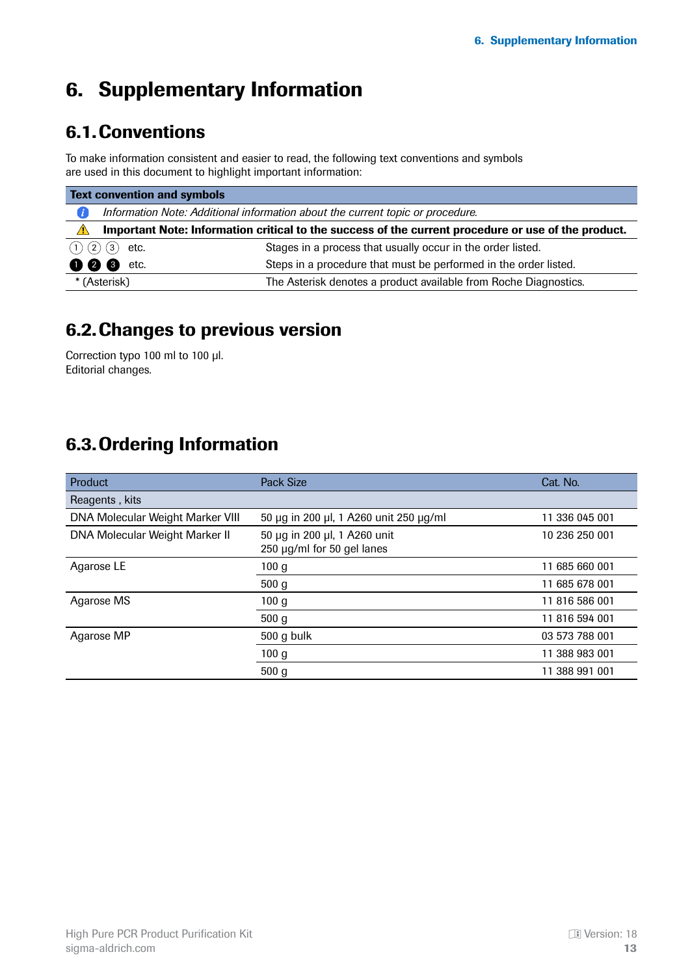# <span id="page-12-0"></span>6. Supplementary Information

### 6.1.Conventions

To make information consistent and easier to read, the following text conventions and symbols are used in this document to highlight important information:

| <b>Text convention and symbols</b> |                                                                                                     |                                                                  |  |  |  |
|------------------------------------|-----------------------------------------------------------------------------------------------------|------------------------------------------------------------------|--|--|--|
|                                    | Information Note: Additional information about the current topic or procedure.                      |                                                                  |  |  |  |
| $\sqrt{N}$                         | Important Note: Information critical to the success of the current procedure or use of the product. |                                                                  |  |  |  |
| (1) (2) (3)                        | etc.                                                                                                | Stages in a process that usually occur in the order listed.      |  |  |  |
| 000                                | etc.                                                                                                | Steps in a procedure that must be performed in the order listed. |  |  |  |
|                                    | * (Asterisk)                                                                                        | The Asterisk denotes a product available from Roche Diagnostics. |  |  |  |

### 6.2.Changes to previous version

Correction typo 100 ml to 100 µl. Editorial changes.

### 6.3.Ordering Information

| <b>Product</b>                          | <b>Pack Size</b>                                           | Cat. No.       |
|-----------------------------------------|------------------------------------------------------------|----------------|
| Reagents, kits                          |                                                            |                |
| <b>DNA Molecular Weight Marker VIII</b> | 50 µg in 200 µl, 1 A260 unit 250 µg/ml                     | 11 336 045 001 |
| DNA Molecular Weight Marker II          | 50 μg in 200 μl, 1 A260 unit<br>250 µg/ml for 50 gel lanes | 10 236 250 001 |
| Agarose LE                              | 100 <sub>g</sub>                                           | 11 685 660 001 |
|                                         | 500 g                                                      | 11 685 678 001 |
| Agarose MS                              | 100 <sub>g</sub>                                           | 11 816 586 001 |
|                                         | 500 g                                                      | 11 816 594 001 |
| Agarose MP                              | 500 g bulk                                                 | 03 573 788 001 |
|                                         | 100 <sub>g</sub>                                           | 11 388 983 001 |
|                                         | 500 <sub>g</sub>                                           | 11 388 991 001 |